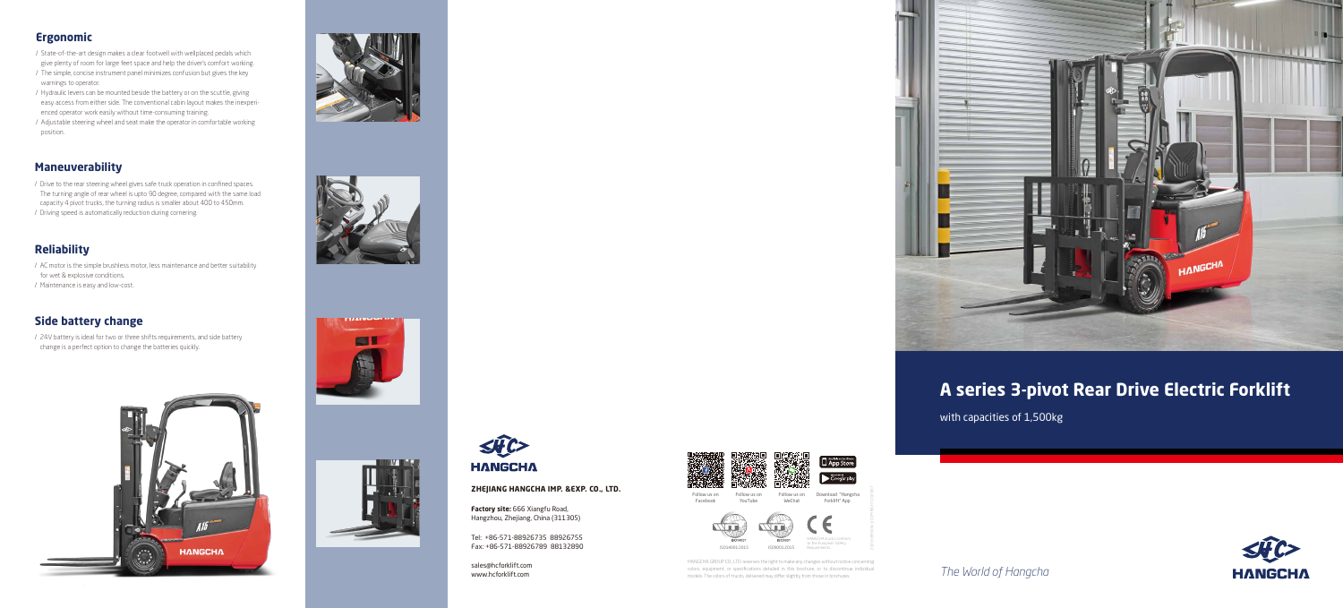## **A series 3-pivot Rear Drive Electric Forklift**

with capacities of 1,500kg

## **Ergonomic**

- / State-of-the-art design makes a clear footwell with wellplaced pedals which give plenty of room for large feet space and help the driver's comfort working.
- / The simple, concise instrument panel minimizes confusion but gives the key warnings to operator.
- / Hydraulic levers can be mounted beside the battery or on the scuttle, giving easy access from either side. The conventional cabin layout makes the inexperienced operator work easily without time-consuming training.
- / Adjustable steering wheel and seat make the operator in comfortable working position.

## **Maneuverability**

HANGCHA GROUP CO., LTD. reserves the right to make any changes without notice concerning colors, equipment, or specifications detailed in this brochure, or to discontinue individual models. The colors of trucks, delivered may differ slightly from those in brochures.

- / Drive to the rear steering wheel gives safe truck operation in confined spaces. The turning angle of rear wheel is upto 90 degree, compared with the same load capacity 4 pivot trucks, the turning radius is smaller about 400 to 450mm.
- / Driving speed is automatically reduction during cornering.





## **Reliability**

- / AC motor is the simple brushless motor, less maintenance and better suitability for wet & explosive conditions.
- / Maintenance is easy and low-cost.

## **Side battery change**

/ 24V battery is ideal for two or three shifts requirements, and side battery change is a perfect option to change the batteries quickly.







*The World of Hangcha*



**Factory site:** 666 Xiangfu Road, Hangzhou, Zhejiang, China (311305)

#### **ZHEJIANG HANGCHA IMP. &EXP. CO., LTD.**

sales@hcforklift.com www.hcforklift.com



Tel: +86-571-88926735 88926755 Fax: +86-571-88926789 88132890